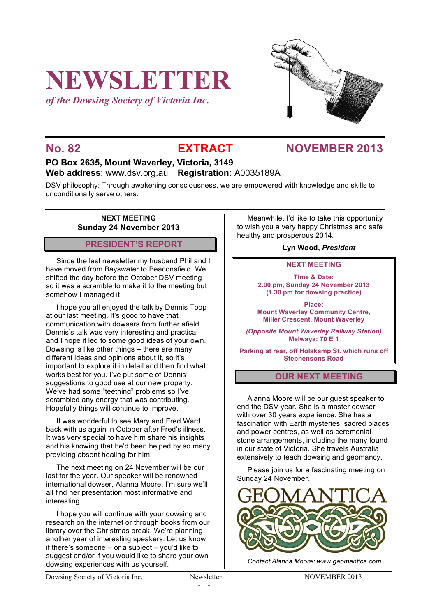# **NEWSLETTER**

*of the Dowsing Society of Victoria Inc.*



## **No. 82 EXTRACT NOVEMBER 2013**

#### **PO Box 2635, Mount Waverley, Victoria, 3149 Web address**: www.dsv.org.au **Registration:** A0035189A

DSV philosophy: Through awakening consciousness, we are empowered with knowledge and skills to unconditionally serve others.

#### **NEXT MEETING Sunday 24 November 2013**

#### **PRESIDENT'S REPORT**

Since the last newsletter my husband Phil and I have moved from Bayswater to Beaconsfield. We shifted the day before the October DSV meeting so it was a scramble to make it to the meeting but somehow I managed it

I hope you all enjoyed the talk by Dennis Toop at our last meeting. It's good to have that communication with dowsers from further afield. Dennis's talk was very interesting and practical and I hope it led to some good ideas of your own. Dowsing is like other things – there are many different ideas and opinions about it, so it's important to explore it in detail and then find what works best for you. I've put some of Dennis' suggestions to good use at our new property. We've had some "teething" problems so I've scrambled any energy that was contributing. Hopefully things will continue to improve.

It was wonderful to see Mary and Fred Ward back with us again in October after Fred's illness. It was very special to have him share his insights and his knowing that he'd been helped by so many providing absent healing for him.

The next meeting on 24 November will be our last for the year. Our speaker will be renowned international dowser, Alanna Moore. I'm sure we'll all find her presentation most informative and interesting.

I hope you will continue with your dowsing and research on the internet or through books from our library over the Christmas break. We're planning another year of interesting speakers. Let us know if there's someone – or a subject – you'd like to suggest and/or if you would like to share your own dowsing experiences with us yourself.

Meanwhile, I'd like to take this opportunity to wish you a very happy Christmas and safe healthy and prosperous 2014.

#### **Lyn Wood,** *President*

#### **NEXT MEETING**

**Time & Date: 2.00 pm, Sunday 24 November 2013 (1.30 pm for dowsing practice)**

**Place: Mount Waverley Community Centre, Miller Crescent, Mount Waverley**

*(Opposite Mount Waverley Railway Station)* **Melways: 70 E 1**

**Parking at rear, off Holskamp St. which runs off Stephensons Road**

#### **OUR NEXT MEETING**

Alanna Moore will be our guest speaker to end the DSV year. She is a master dowser with over 30 years experience. She has a fascination with Earth mysteries, sacred places and power centres, as well as ceremonial stone arrangements, including the many found in our state of Victoria. She travels Australia extensively to teach dowsing and geomancy.

Please join us for a fascinating meeting on Sunday 24 November.



*Contact Alanna Moore: www.geomantica.com*

Dowsing Society of Victoria Inc. Newsletter NOVEMBER 2013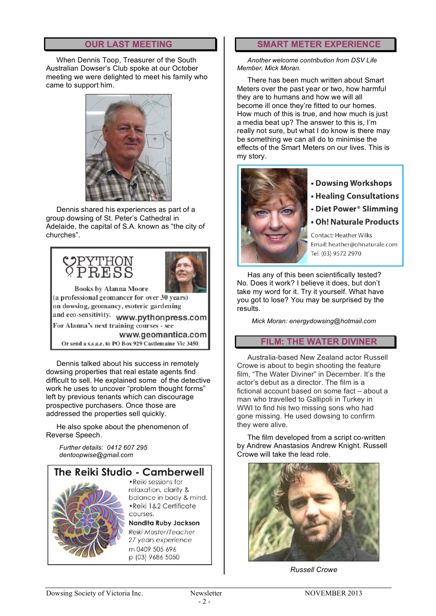#### **OUR LAST MEETING**

When Dennis Toop, Treasurer of the South Australian Dowser's Club spoke at our October meeting we were delighted to meet his family who came to support him.



Dennis shared his experiences as part of a group dowsing of St. Peter's Cathedral in Adelaide, the capital of S.A. known as "the city of churches".



Dennis talked about his success in remotely dowsing properties that real estate agents find difficult to sell. He explained some of the detective work he uses to uncover "problem thought forms" left by previous tenants which can discourage prospective purchasers. Once those are addressed the properties sell quickly.

He also spoke about the phenomenon of Reverse Speech.

*Further details: 0412 607 295 dentoopwise@gmail.com*



p (03) 9686 5050

# **SMART METER EXPERIENCE**

*Another welcome contribution from DSV Life Member, Mick Moran.*

There has been much written about Smart Meters over the past year or two, how harmful they are to humans and how we will all become ill once they're fitted to our homes. How much of this is true, and how much is just a media beat up? The answer to this is, I'm really not sure, but what I do know is there may be something we can all do to minimise the effects of the Smart Meters on our lives. This is my story.



- Dowsing Workshops
- **Healing Consultations**
- Diet Power<sup>®</sup> Slimming
- Oh! Naturale Products

Contact: Heather Wilks Email: heather@ohnaturale.com Tel: (03) 9572 2970

Has any of this been scientifically tested? No. Does it work? I believe it does, but don't take my word for it. Try it yourself. What have you got to lose? You may be surprised by the results.

*Mick Moran: energydowsing@hotmail.com*

### **FILM: THE WATER DIVINER**

Australia-based New Zealand actor Russell Crowe is about to begin shooting the feature film, "The Water Diviner" in December. It's the actor's debut as a director. The film is a fictional account based on some fact – about a man who travelled to Gallipoli in Turkey in WWI to find his two missing sons who had gone missing. He used dowsing to confirm they were alive.

The film developed from a script co-written by Andrew Anastasios Andrew Knight. Russell Crowe will take the lead role.



*Russell Crowe*